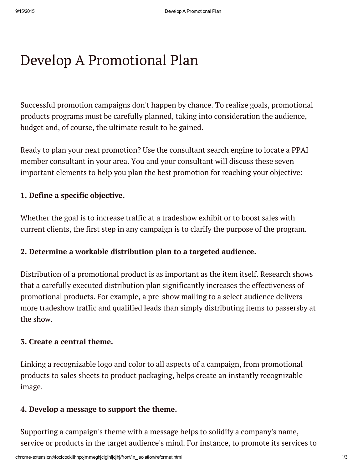# Develop A Promotional Plan

Successful promotion campaigns don't happen by chance. To realize goals, promotional products programs must be carefully planned, taking into consideration the audience, budget and, of course, the ultimate result to be gained.

Ready to plan your next promotion? Use the consultant search engine to locate a PPAI member consultant in your area. You and your consultant will discuss these seven important elements to help you plan the best promotion for reaching your objective:

## 1. Define a specific objective.

Whether the goal is to increase traffic at a tradeshow exhibit or to boost sales with current clients, the first step in any campaign is to clarify the purpose of the program.

### 2. Determine a workable distribution plan to a targeted audience.

Distribution of a promotional product is as important as the item itself. Research shows that a carefully executed distribution plan significantly increases the effectiveness of promotional products. For example, a pre-show mailing to a select audience delivers more tradeshow traffic and qualified leads than simply distributing items to passersby at the show.

#### 3. Create a central theme.

Linking a recognizable logo and color to all aspects of a campaign, from promotional products to sales sheets to product packaging, helps create an instantly recognizable image.

#### 4. Develop a message to support the theme.

Supporting a campaign's theme with a message helps to solidify a company's name, service or products in the target audience's mind. For instance, to promote its services to